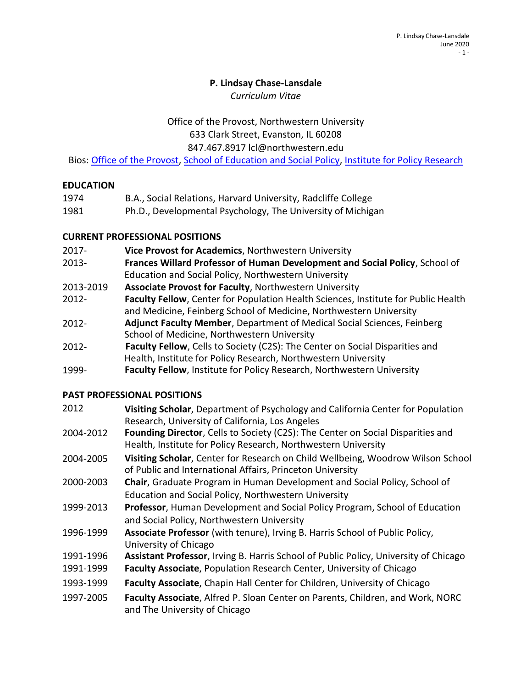#### **P. Lindsay Chase-Lansdale**

*Curriculum Vitae*

### Office of the Provost, Northwestern University 633 Clark Street, Evanston, IL 60208

847.467.8917 [lcl@northwestern.edu](mailto:lcl@northwestern.edu)

Bios: [Office of the Provost,](https://www.northwestern.edu/provost/about/bios/lindsay-chase-lansdale.html) [School of Education and Social Policy,](https://www.sesp.northwestern.edu/profile/?p=36) [Institute for Policy Research](https://www.ipr.northwestern.edu/who-we-are/faculty-experts/chase-lansdale.html)

### **EDUCATION**

| 1974 | B.A., Social Relations, Harvard University, Radcliffe College |
|------|---------------------------------------------------------------|
| 1981 | Ph.D., Developmental Psychology, The University of Michigan   |

### **CURRENT PROFESSIONAL POSITIONS**

- 2017- **Vice Provost for Academics**, Northwestern University
- 2013- **Frances Willard Professor of Human Development and Social Policy**, School of Education and Social Policy, Northwestern University
- 2013-2019 **Associate Provost for Faculty**, Northwestern University
- 2012- **Faculty Fellow**, Center for Population Health Sciences, Institute for Public Health and Medicine, Feinberg School of Medicine, Northwestern University
- 2012- **Adjunct Faculty Member**, Department of Medical Social Sciences, Feinberg School of Medicine, Northwestern University
- 2012- **Faculty Fellow**, Cells to Society (C2S): The Center on Social Disparities and Health, Institute for Policy Research, Northwestern University
- 1999- **Faculty Fellow**, Institute for Policy Research, Northwestern University

## **PAST PROFESSIONAL POSITIONS**

| 2012      | Visiting Scholar, Department of Psychology and California Center for Population        |
|-----------|----------------------------------------------------------------------------------------|
|           | Research, University of California, Los Angeles                                        |
| 2004-2012 | <b>Founding Director.</b> Cells to Society (C2S): The Center on Social Disparities and |

- 2004-2012 **Founding Director**, Cells to Society (C2S): The Center on Social Disparities and Health, Institute for Policy Research, Northwestern University
- 2004-2005 **Visiting Scholar**, Center for Research on Child Wellbeing, Woodrow Wilson School of Public and International Affairs, Princeton University
- 2000-2003 **Chair**, Graduate Program in Human Development and Social Policy, School of Education and Social Policy, Northwestern University
- 1999-2013 **Professor**, Human Development and Social Policy Program, School of Education and Social Policy, Northwestern University
- 1996-1999 **Associate Professor** (with tenure), Irving B. Harris School of Public Policy, University of Chicago
- 1991-1996 **Assistant Professor**, Irving B. Harris School of Public Policy, University of Chicago
- 1991-1999 **Faculty Associate**, Population Research Center, University of Chicago
- 1993-1999 **Faculty Associate**, Chapin Hall Center for Children, University of Chicago
- 1997-2005 **Faculty Associate**, Alfred P. Sloan Center on Parents, Children, and Work, NORC and The University of Chicago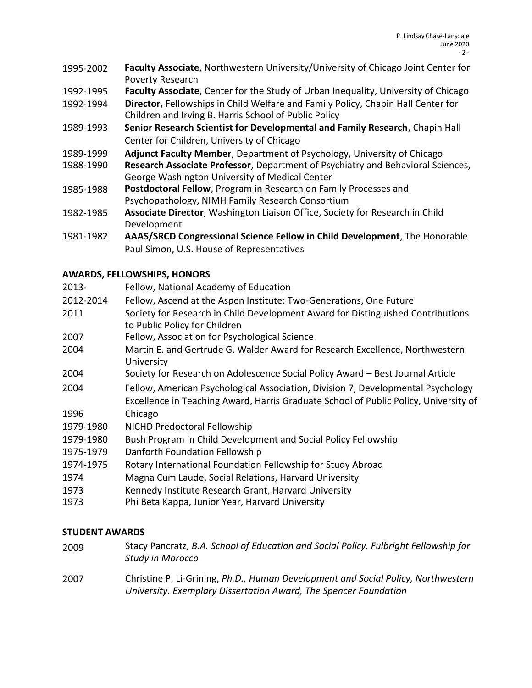- 1995-2002 **Faculty Associate**, Northwestern University/University of Chicago Joint Center for Poverty Research
- 1992-1995 **Faculty Associate**, Center for the Study of Urban Inequality, University of Chicago
- 1992-1994 **Director,** Fellowships in Child Welfare and Family Policy, Chapin Hall Center for Children and Irving B. Harris School of Public Policy
- 1989-1993 **Senior Research Scientist for Developmental and Family Research**, Chapin Hall Center for Children, University of Chicago
- 1989-1999 **Adjunct Faculty Member**, Department of Psychology, University of Chicago
- 1988-1990 **Research Associate Professor**, Department of Psychiatry and Behavioral Sciences, George Washington University of Medical Center
- 1985-1988 **Postdoctoral Fellow**, Program in Research on Family Processes and Psychopathology, NIMH Family Research Consortium
- 1982-1985 **Associate Director**, Washington Liaison Office, Society for Research in Child Development
- 1981-1982 **AAAS/SRCD Congressional Science Fellow in Child Development**, The Honorable Paul Simon, U.S. House of Representatives

# **AWARDS, FELLOWSHIPS, HONORS**

| 2013-     | Fellow, National Academy of Education                                                                            |
|-----------|------------------------------------------------------------------------------------------------------------------|
| 2012-2014 | Fellow, Ascend at the Aspen Institute: Two-Generations, One Future                                               |
| 2011      | Society for Research in Child Development Award for Distinguished Contributions<br>to Public Policy for Children |
| 2007      | Fellow, Association for Psychological Science                                                                    |
| 2004      | Martin E. and Gertrude G. Walder Award for Research Excellence, Northwestern<br>University                       |
| 2004      | Society for Research on Adolescence Social Policy Award - Best Journal Article                                   |
| 2004      | Fellow, American Psychological Association, Division 7, Developmental Psychology                                 |
|           | Excellence in Teaching Award, Harris Graduate School of Public Policy, University of                             |
| 1996      | Chicago                                                                                                          |
| 1979-1980 | NICHD Predoctoral Fellowship                                                                                     |
| 1979-1980 | Bush Program in Child Development and Social Policy Fellowship                                                   |
| 1975-1979 | Danforth Foundation Fellowship                                                                                   |
| 1974-1975 | Rotary International Foundation Fellowship for Study Abroad                                                      |
| 1974      | Magna Cum Laude, Social Relations, Harvard University                                                            |
| 1973      | Kennedy Institute Research Grant, Harvard University                                                             |
| 1973      | Phi Beta Kappa, Junior Year, Harvard University                                                                  |

## **STUDENT AWARDS**

2009 Stacy Pancratz, *B.A. School of Education and Social Policy. Fulbright Fellowship for Study in Morocco* 2007 Christine P. Li-Grining, *Ph.D., Human Development and Social Policy, Northwestern University. Exemplary Dissertation Award, The Spencer Foundation*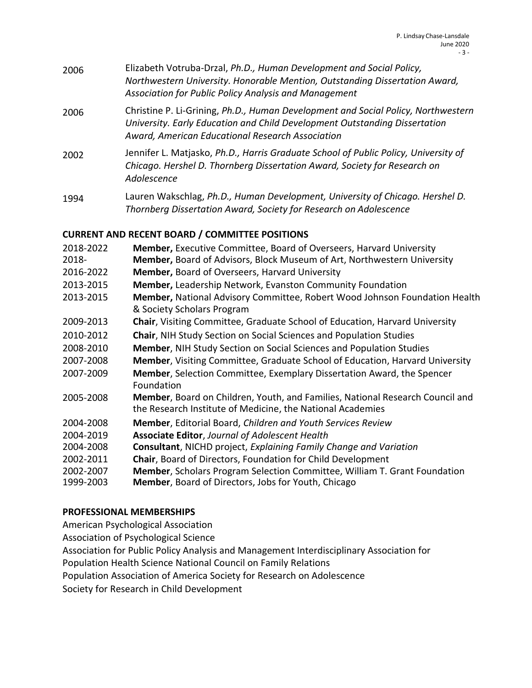| 2006 | Elizabeth Votruba-Drzal, Ph.D., Human Development and Social Policy,<br>Northwestern University. Honorable Mention, Outstanding Dissertation Award,<br>Association for Public Policy Analysis and Management        |
|------|---------------------------------------------------------------------------------------------------------------------------------------------------------------------------------------------------------------------|
| 2006 | Christine P. Li-Grining, Ph.D., Human Development and Social Policy, Northwestern<br>University. Early Education and Child Development Outstanding Dissertation<br>Award, American Educational Research Association |
| 2002 | Jennifer L. Matjasko, Ph.D., Harris Graduate School of Public Policy, University of<br>Chicago. Hershel D. Thornberg Dissertation Award, Society for Research on<br>Adolescence                                     |
| 1994 | Lauren Wakschlag, Ph.D., Human Development, University of Chicago. Hershel D.<br>Thornberg Dissertation Award, Society for Research on Adolescence                                                                  |

## **CURRENT AND RECENT BOARD / COMMITTEE POSITIONS**

| 2018-2022<br>2018- | Member, Executive Committee, Board of Overseers, Harvard University<br>Member, Board of Advisors, Block Museum of Art, Northwestern University |
|--------------------|------------------------------------------------------------------------------------------------------------------------------------------------|
| 2016-2022          | <b>Member, Board of Overseers, Harvard University</b>                                                                                          |
| 2013-2015          | <b>Member, Leadership Network, Evanston Community Foundation</b>                                                                               |
| 2013-2015          | Member, National Advisory Committee, Robert Wood Johnson Foundation Health<br>& Society Scholars Program                                       |
| 2009-2013          | <b>Chair, Visiting Committee, Graduate School of Education, Harvard University</b>                                                             |
| 2010-2012          | <b>Chair, NIH Study Section on Social Sciences and Population Studies</b>                                                                      |
| 2008-2010          | <b>Member, NIH Study Section on Social Sciences and Population Studies</b>                                                                     |
| 2007-2008          | Member, Visiting Committee, Graduate School of Education, Harvard University                                                                   |
| 2007-2009          | Member, Selection Committee, Exemplary Dissertation Award, the Spencer<br>Foundation                                                           |
| 2005-2008          | Member, Board on Children, Youth, and Families, National Research Council and<br>the Research Institute of Medicine, the National Academies    |
| 2004-2008          | <b>Member, Editorial Board, Children and Youth Services Review</b>                                                                             |
| 2004-2019          | <b>Associate Editor, Journal of Adolescent Health</b>                                                                                          |
| 2004-2008          | <b>Consultant, NICHD project, Explaining Family Change and Variation</b>                                                                       |
| 2002-2011          | Chair, Board of Directors, Foundation for Child Development                                                                                    |
| 2002-2007          | <b>Member, Scholars Program Selection Committee, William T. Grant Foundation</b>                                                               |
| 1999-2003          | <b>Member, Board of Directors, Jobs for Youth, Chicago</b>                                                                                     |
|                    |                                                                                                                                                |

## **PROFESSIONAL MEMBERSHIPS**

American Psychological Association

Association of Psychological Science

Association for Public Policy Analysis and Management Interdisciplinary Association for

Population Health Science National Council on Family Relations

Population Association of America Society for Research on Adolescence

Society for Research in Child Development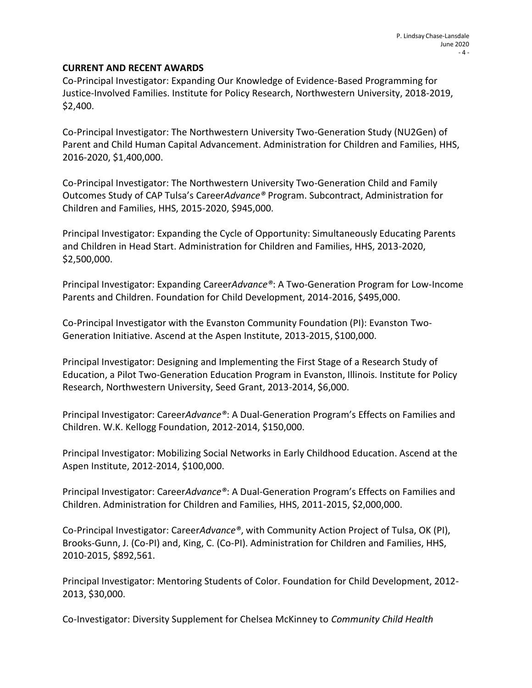#### **CURRENT AND RECENT AWARDS**

Co-Principal Investigator: Expanding Our Knowledge of Evidence-Based Programming for Justice-Involved Families. Institute for Policy Research, Northwestern University, 2018-2019, \$2,400.

Co-Principal Investigator: The Northwestern University Two-Generation Study (NU2Gen) of Parent and Child Human Capital Advancement. Administration for Children and Families, HHS, 2016-2020, \$1,400,000.

Co-Principal Investigator: The Northwestern University Two-Generation Child and Family Outcomes Study of CAP Tulsa's Career*Advance®* Program. Subcontract, Administration for Children and Families, HHS, 2015-2020, \$945,000.

Principal Investigator: Expanding the Cycle of Opportunity: Simultaneously Educating Parents and Children in Head Start. Administration for Children and Families, HHS, 2013-2020, \$2,500,000.

Principal Investigator: Expanding Career*Advance®*: A Two-Generation Program for Low-Income Parents and Children. Foundation for Child Development, 2014-2016, \$495,000.

Co-Principal Investigator with the Evanston Community Foundation (PI): Evanston Two-Generation Initiative. Ascend at the Aspen Institute, 2013-2015, \$100,000.

Principal Investigator: Designing and Implementing the First Stage of a Research Study of Education, a Pilot Two-Generation Education Program in Evanston, Illinois. Institute for Policy Research, Northwestern University, Seed Grant, 2013-2014, \$6,000.

Principal Investigator: Career*Advance®*: A Dual-Generation Program's Effects on Families and Children. W.K. Kellogg Foundation, 2012-2014, \$150,000.

Principal Investigator: Mobilizing Social Networks in Early Childhood Education. Ascend at the Aspen Institute, 2012-2014, \$100,000.

Principal Investigator: Career*Advance®*: A Dual-Generation Program's Effects on Families and Children. Administration for Children and Families, HHS, 2011-2015, \$2,000,000.

Co-Principal Investigator: Career*Advance®*, with Community Action Project of Tulsa, OK (PI), Brooks-Gunn, J. (Co-PI) and, King, C. (Co-PI). Administration for Children and Families, HHS, 2010-2015, \$892,561.

Principal Investigator: Mentoring Students of Color. Foundation for Child Development, 2012- 2013, \$30,000.

Co-Investigator: Diversity Supplement for Chelsea McKinney to *Community Child Health*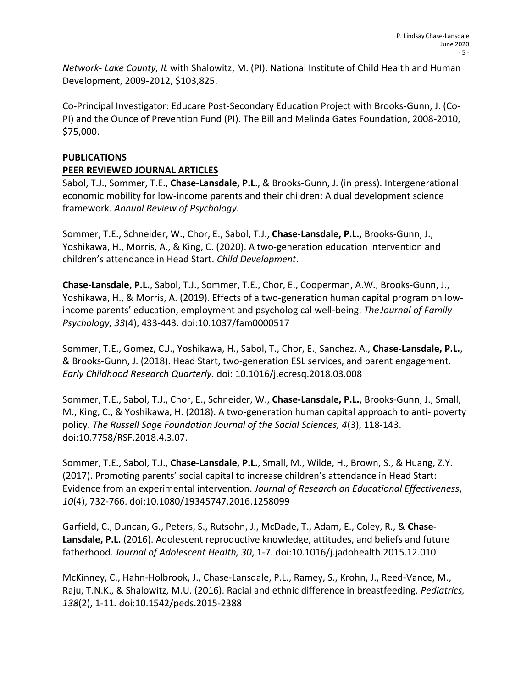*Network- Lake County, IL* with Shalowitz, M. (PI). National Institute of Child Health and Human Development, 2009-2012, \$103,825.

Co-Principal Investigator: Educare Post-Secondary Education Project with Brooks-Gunn, J. (Co-PI) and the Ounce of Prevention Fund (PI). The Bill and Melinda Gates Foundation, 2008-2010, \$75,000.

### **PUBLICATIONS**

### **PEER REVIEWED JOURNAL ARTICLES**

Sabol, T.J., Sommer, T.E., **Chase-Lansdale, P.L**., & Brooks-Gunn, J. (in press). Intergenerational economic mobility for low-income parents and their children: A dual development science framework. *Annual Review of Psychology.*

Sommer, T.E., Schneider, W., Chor, E., Sabol, T.J., **Chase-Lansdale, P.L.,** Brooks-Gunn, J., Yoshikawa, H., Morris, A., & King, C. (2020). A two-generation education intervention and children's attendance in Head Start. *Child Development*.

**Chase-Lansdale, P.L.**, Sabol, T.J., Sommer, T.E., Chor, E., Cooperman, A.W., Brooks-Gunn, J., Yoshikawa, H., & Morris, A. (2019). Effects of a two-generation human capital program on lowincome parents' education, employment and psychological well-being. *TheJournal of Family Psychology, 33*(4), 433-443*.* doi:10.1037/fam0000517

Sommer, T.E., Gomez, C.J., Yoshikawa, H., Sabol, T., Chor, E., Sanchez, A., **Chase-Lansdale, P.L.**, & Brooks-Gunn, J. (2018). Head Start, two-generation ESL services, and parent engagement. *Early Childhood Research Quarterly.* doi: 10.1016/j.ecresq.2018.03.008

Sommer, T.E., Sabol, T.J., Chor, E., Schneider, W., **Chase-Lansdale, P.L.**, Brooks-Gunn, J., Small, M., King, C., & Yoshikawa, H. (2018). A two-generation human capital approach to anti- poverty policy. *The Russell Sage Foundation Journal of the Social Sciences, 4*(3), 118*-*143. doi:10.7758/RSF.2018.4.3.07.

Sommer, T.E., Sabol, T.J., **Chase-Lansdale, P.L.**, Small, M., Wilde, H., Brown, S., & Huang, Z.Y. (2017). Promoting parents' social capital to increase children's attendance in Head Start: Evidence from an experimental intervention. *Journal of Research on Educational Effectiveness*, *10*(4), 732-766. doi:10.1080/19345747.2016.1258099

Garfield, C., Duncan, G., Peters, S., Rutsohn, J., McDade, T., Adam, E., Coley, R., & **Chase-Lansdale, P.L.** (2016). Adolescent reproductive knowledge, attitudes, and beliefs and future fatherhood. *Journal of Adolescent Health, 30*, 1-7. [doi:10.1016/j.jadohealth.2015.12.010](https://doi-org.turing.library.northwestern.edu/10.1016/j.jadohealth.2015.12.010)

McKinney, C., Hahn-Holbrook, J., Chase-Lansdale, P.L., Ramey, S., Krohn, J., Reed-Vance, M., Raju, T.N.K., & Shalowitz, M.U. (2016). Racial and ethnic difference in breastfeeding. *Pediatrics, 138*(2), 1-11*.* doi:10.1542/peds.2015-2388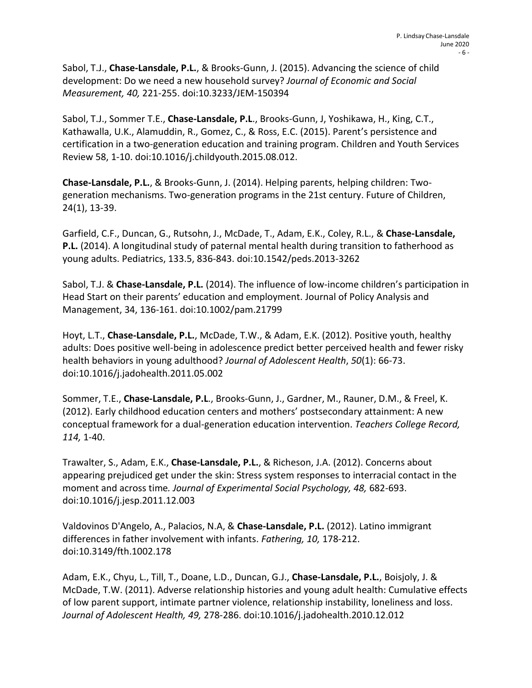Sabol, T.J., **Chase-Lansdale, P.L.**, & Brooks-Gunn, J. (2015). Advancing the science of child development: Do we need a new household survey? *Journal of Economic and Social Measurement, 40,* 221-255. doi:10.3233/JEM-150394

Sabol, T.J., Sommer T.E., **Chase-Lansdale, P.L**., Brooks-Gunn, J, Yoshikawa, H., King, C.T., Kathawalla, U.K., Alamuddin, R., Gomez, C., & Ross, E.C. (2015). Parent's persistence and certification in a two-generation education and training program. Children and Youth Services Review 58, 1-10. doi:10.1016/j.childyouth.2015.08.012.

**Chase-Lansdale, P.L.**, & Brooks-Gunn, J. (2014). Helping parents, helping children: Twogeneration mechanisms. Two-generation programs in the 21st century. Future of Children, 24(1), 13-39.

Garfield, C.F., Duncan, G., Rutsohn, J., McDade, T., Adam, E.K., Coley, R.L., & **Chase-Lansdale, P.L.** (2014). A longitudinal study of paternal mental health during transition to fatherhood as young adults. Pediatrics, 133.5, 836-843. doi:10.1542/peds.2013-3262

Sabol, T.J. & **Chase-Lansdale, P.L.** (2014). The influence of low-income children's participation in Head Start on their parents' education and employment. Journal of Policy Analysis and Management, 34, 136-161. doi:10.1002/pam.21799

Hoyt, L.T., **Chase-Lansdale, P.L.**, McDade, T.W., & Adam, E.K. (2012). Positive youth, healthy adults: Does positive well-being in adolescence predict better perceived health and fewer risky health behaviors in young adulthood? *Journal of Adolescent Health*, *50*(1): 66-73. doi[:10.1016/j.jadohealth.2011.05.002](https://doi-org.turing.library.northwestern.edu/10.1016/j.jadohealth.2011.05.002)

Sommer, T.E., **Chase-Lansdale, P.L**., Brooks-Gunn, J., Gardner, M., Rauner, D.M., & Freel, K. (2012). Early childhood education centers and mothers' postsecondary attainment: A new conceptual framework for a dual-generation education intervention. *Teachers College Record, 114,* 1-40.

Trawalter, S., Adam, E.K., **Chase-Lansdale, P.L.**, & Richeson, J.A. (2012). Concerns about appearing prejudiced get under the skin: Stress system responses to interracial contact in the moment and across time*. Journal of Experimental Social Psychology, 48,* 682-693. doi[:10.1016/j.jesp.2011.12.003](https://doi-org.turing.library.northwestern.edu/10.1016/j.jesp.2011.12.003)

Valdovinos D'Angelo, A., Palacios, N.A, & **Chase-Lansdale, P.L.** (2012). Latino immigrant differences in father involvement with infants. *Fathering, 10,* 178-212. doi:10.3149/fth.1002.178

Adam, E.K., Chyu, L., Till, T., Doane, L.D., Duncan, G.J., **Chase-Lansdale, P.L.**, Boisjoly, J. & McDade, T.W. (2011). Adverse relationship histories and young adult health: Cumulative effects of low parent support, intimate partner violence, relationship instability, loneliness and loss. *Journal of Adolescent Health, 49,* 278-286. d[oi:10.1016/j.jadohealth.2010.12.012](https://doi-org.turing.library.northwestern.edu/10.1016/j.jadohealth.2010.12.012)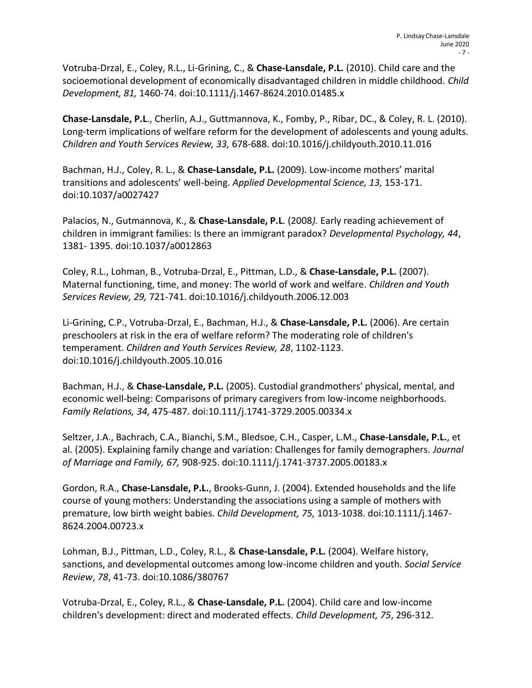Votruba-Drzal, E., Coley, R.L., Li-Grining, C., & **Chase-Lansdale, P.L.** (2010). Child care and the socioemotional development of economically disadvantaged children in middle childhood. *Child Development, 81,* 1460-74. doi:10.1111/j.1467-8624.2010.01485.x

**Chase-Lansdale, P.L**., Cherlin, A.J., Guttmannova, K., Fomby, P., Ribar, DC., & Coley, R. L. (2010). Long-term implications of welfare reform for the development of adolescents and young adults. *Children and Youth Services Review, 33,* 678-688. [doi:10.1016/j.childyouth.2010.11.016](https://doi-org.turing.library.northwestern.edu/10.1016/j.childyouth.2010.11.016)

Bachman, H.J., Coley, R. L., & **Chase-Lansdale, P.L.** (2009). Low-income mothers' marital transitions and adolescents' well-being. *Applied Developmental Science, 13,* 153-171. doi:10.1037/a0027427

Palacios, N., Gutmannova, K., & **Chase-Lansdale, P.L**. (2008*).* Early reading achievement of children in immigrant families: Is there an immigrant paradox? *Developmental Psychology, 44*, 1381- 1395. doi:10.1037/a0012863

Coley, R.L., Lohman, B., Votruba-Drzal, E., Pittman, L.D., & **Chase-Lansdale, P.L.** (2007). Maternal functioning, time, and money: The world of work and welfare. *Children and Youth Services Review, 29,* 721-741. doi[:10.1016/j.childyouth.2006.12.003](https://doi-org.turing.library.northwestern.edu/10.1016/j.childyouth.2006.12.003)

Li-Grining, C.P., Votruba-Drzal, E., Bachman, H.J., & **Chase-Lansdale, P.L.** (2006). Are certain preschoolers at risk in the era of welfare reform? The moderating role of children's temperament. *Children and Youth Services Review, 28*, 1102-1123. doi[:10.1016/j.childyouth.2005.10.016](https://doi-org.turing.library.northwestern.edu/10.1016/j.childyouth.2005.10.016)

Bachman, H.J., & **Chase-Lansdale, P.L.** (2005). Custodial grandmothers' physical, mental, and economic well-being: Comparisons of primary caregivers from low-income neighborhoods. *Family Relations, 34,* 475-487. doi:10.111/j.1741-3729.2005.00334.x

Seltzer, J.A., Bachrach, C.A., Bianchi, S.M., Bledsoe, C.H., Casper, L.M., **Chase-Lansdale, P.L.**, et al. (2005). Explaining family change and variation: Challenges for family demographers. *Journal of Marriage and Family, 67,* 908-925. doi:10.1111/j.1741-3737.2005.00183.x

Gordon, R.A., **Chase-Lansdale, P.L.**, Brooks-Gunn, J. (2004). Extended households and the life course of young mothers: Understanding the associations using a sample of mothers with premature, low birth weight babies. *Child Development, 75,* 1013-1038. doi:10.1111/j.1467- 8624.2004.00723.x

Lohman, B.J., Pittman, L.D., Coley, R.L., & **Chase-Lansdale, P.L.** (2004). Welfare history, sanctions, and developmental outcomes among low-income children and youth. *Social Service Review*, *78*, 41-73. doi:10.1086/380767

Votruba-Drzal, E., Coley, R.L., & **Chase-Lansdale, P.L.** (2004). Child care and low-income children's development: direct and moderated effects. *Child Development, 75*, 296-312.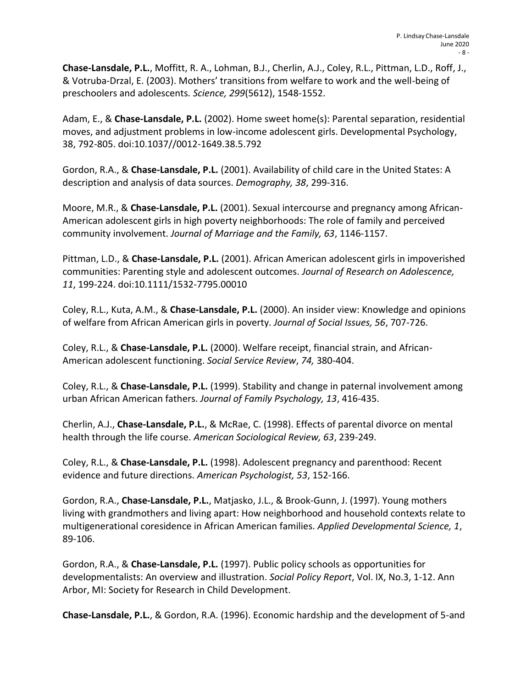**Chase-Lansdale, P.L.**, Moffitt, R. A., Lohman, B.J., Cherlin, A.J., Coley, R.L., Pittman, L.D., Roff, J., & Votruba-Drzal, E. (2003). Mothers' transitions from welfare to work and the well-being of preschoolers and adolescents*. Science, 299*(5612), 1548-1552.

Adam, E., & **Chase-Lansdale, P.L.** (2002). Home sweet home(s): Parental separation, residential moves, and adjustment problems in low-income adolescent girls. Developmental Psychology, 38, 792-805. doi:10.1037//0012-1649.38.5.792

Gordon, R.A., & **Chase-Lansdale, P.L.** (2001). Availability of child care in the United States: A description and analysis of data sources. *Demography, 38*, 299-316.

Moore, M.R., & **Chase-Lansdale, P.L.** (2001). Sexual intercourse and pregnancy among African-American adolescent girls in high poverty neighborhoods: The role of family and perceived community involvement. *Journal of Marriage and the Family, 63*, 1146-1157.

Pittman, L.D., & **Chase-Lansdale, P.L.** (2001). African American adolescent girls in impoverished communities: Parenting style and adolescent outcomes. *Journal of Research on Adolescence, 11*, 199-224. doi:10.1111/1532-7795.00010

Coley, R.L., Kuta, A.M., & **Chase-Lansdale, P.L.** (2000). An insider view: Knowledge and opinions of welfare from African American girls in poverty. *Journal of Social Issues, 56*, 707-726.

Coley, R.L., & **Chase-Lansdale, P.L.** (2000). Welfare receipt, financial strain, and African-American adolescent functioning. *Social Service Review*, *74,* 380-404.

Coley, R.L., & **Chase-Lansdale, P.L.** (1999). Stability and change in paternal involvement among urban African American fathers. *Journal of Family Psychology, 13*, 416-435.

Cherlin, A.J., **Chase-Lansdale, P.L.**, & McRae, C. (1998). Effects of parental divorce on mental health through the life course. *American Sociological Review, 63*, 239-249.

Coley, R.L., & **Chase-Lansdale, P.L.** (1998). Adolescent pregnancy and parenthood: Recent evidence and future directions. *American Psychologist, 53*, 152-166.

Gordon, R.A., **Chase-Lansdale, P.L.**, Matjasko, J.L., & Brook-Gunn, J. (1997). Young mothers living with grandmothers and living apart: How neighborhood and household contexts relate to multigenerational coresidence in African American families. *Applied Developmental Science, 1*, 89-106.

Gordon, R.A., & **Chase-Lansdale, P.L.** (1997). Public policy schools as opportunities for developmentalists: An overview and illustration. *Social Policy Report*, Vol. IX, No.3, 1-12. Ann Arbor, MI: Society for Research in Child Development.

**Chase-Lansdale, P.L.**, & Gordon, R.A. (1996). Economic hardship and the development of 5-and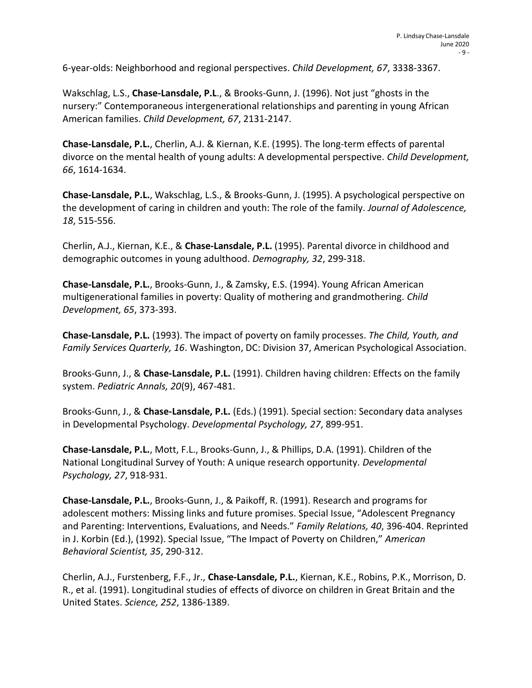6-year-olds: Neighborhood and regional perspectives. *Child Development, 67*, 3338-3367.

Wakschlag, L.S., **Chase-Lansdale, P.L**., & Brooks-Gunn, J. (1996). Not just "ghosts in the nursery:" Contemporaneous intergenerational relationships and parenting in young African American families. *Child Development, 67*, 2131-2147.

**Chase-Lansdale, P.L.**, Cherlin, A.J. & Kiernan, K.E. (1995). The long-term effects of parental divorce on the mental health of young adults: A developmental perspective. *Child Development, 66*, 1614-1634.

**Chase-Lansdale, P.L.**, Wakschlag, L.S., & Brooks-Gunn, J. (1995). A psychological perspective on the development of caring in children and youth: The role of the family. *Journal of Adolescence, 18*, 515-556.

Cherlin, A.J., Kiernan, K.E., & **Chase-Lansdale, P.L.** (1995). Parental divorce in childhood and demographic outcomes in young adulthood. *Demography, 32*, 299-318.

**Chase-Lansdale, P.L.**, Brooks-Gunn, J., & Zamsky, E.S. (1994). Young African American multigenerational families in poverty: Quality of mothering and grandmothering. *Child Development, 65*, 373-393.

**Chase-Lansdale, P.L.** (1993). The impact of poverty on family processes. *The Child, Youth, and Family Services Quarterly, 16*. Washington, DC: Division 37, American Psychological Association.

Brooks-Gunn, J., & **Chase-Lansdale, P.L.** (1991). Children having children: Effects on the family system. *Pediatric Annals, 20*(9), 467-481.

Brooks-Gunn, J., & **Chase-Lansdale, P.L.** (Eds.) (1991). Special section: Secondary data analyses in Developmental Psychology. *Developmental Psychology, 27*, 899-951.

**Chase-Lansdale, P.L.**, Mott, F.L., Brooks-Gunn, J., & Phillips, D.A. (1991). Children of the National Longitudinal Survey of Youth: A unique research opportunity. *Developmental Psychology, 27*, 918-931.

**Chase-Lansdale, P.L.**, Brooks-Gunn, J., & Paikoff, R. (1991). Research and programs for adolescent mothers: Missing links and future promises. Special Issue, "Adolescent Pregnancy and Parenting: Interventions, Evaluations, and Needs." *Family Relations, 40*, 396-404. Reprinted in J. Korbin (Ed.), (1992). Special Issue, "The Impact of Poverty on Children," *American Behavioral Scientist, 35*, 290-312.

Cherlin, A.J., Furstenberg, F.F., Jr., **Chase-Lansdale, P.L.**, Kiernan, K.E., Robins, P.K., Morrison, D. R., et al. (1991). Longitudinal studies of effects of divorce on children in Great Britain and the United States. *Science, 252*, 1386-1389.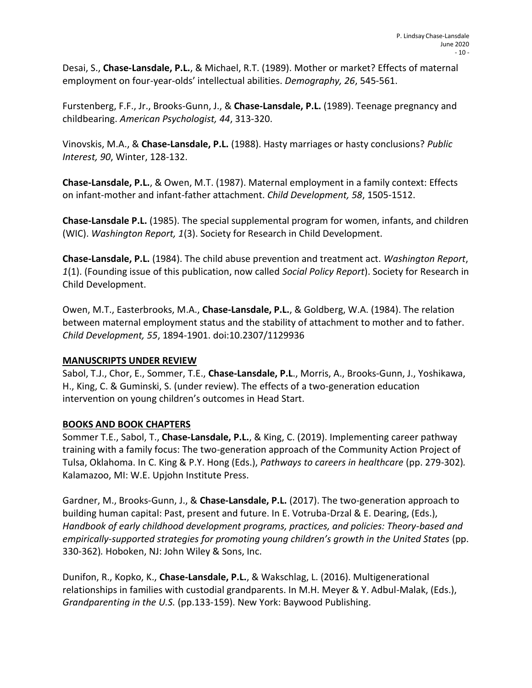Desai, S., **Chase-Lansdale, P.L.**, & Michael, R.T. (1989). Mother or market? Effects of maternal employment on four-year-olds' intellectual abilities. *Demography, 26*, 545-561.

Furstenberg, F.F., Jr., Brooks-Gunn, J., & **Chase-Lansdale, P.L.** (1989). Teenage pregnancy and childbearing. *American Psychologist, 44*, 313-320.

Vinovskis, M.A., & **Chase-Lansdale, P.L.** (1988). Hasty marriages or hasty conclusions? *Public Interest, 90*, Winter, 128-132.

**Chase-Lansdale, P.L.**, & Owen, M.T. (1987). Maternal employment in a family context: Effects on infant-mother and infant-father attachment. *Child Development, 58*, 1505-1512.

**Chase-Lansdale P.L.** (1985). The special supplemental program for women, infants, and children (WIC). *Washington Report, 1*(3). Society for Research in Child Development.

**Chase-Lansdale, P.L.** (1984). The child abuse prevention and treatment act. *Washington Report*, *1*(1). (Founding issue of this publication, now called *Social Policy Report*). Society for Research in Child Development.

Owen, M.T., Easterbrooks, M.A., **Chase-Lansdale, P.L.**, & Goldberg, W.A. (1984). The relation between maternal employment status and the stability of attachment to mother and to father. *Child Development, 55*, 1894-1901. doi:10.2307/1129936

## **MANUSCRIPTS UNDER REVIEW**

Sabol, T.J., Chor, E., Sommer, T.E., **Chase-Lansdale, P.L**., Morris, A., Brooks-Gunn, J., Yoshikawa, H., King, C. & Guminski, S. (under review). The effects of a two-generation education intervention on young children's outcomes in Head Start.

## **BOOKS AND BOOK CHAPTERS**

Sommer T.E., Sabol, T., **Chase-Lansdale, P.L.**, & King, C. (2019). Implementing career pathway training with a family focus: The two-generation approach of the Community Action Project of Tulsa, Oklahoma. In C. King & P.Y. Hong (Eds.), *Pathways to careers in healthcare* (pp. 279-302)*.* Kalamazoo, MI: W.E. Upjohn Institute Press.

Gardner, M., Brooks-Gunn, J., & **Chase-Lansdale, P.L.** (2017). The two-generation approach to building human capital: Past, present and future. In E. Votruba-Drzal & E. Dearing, (Eds.), *Handbook of early childhood development programs, practices, and policies: Theory-based and empirically-supported strategies for promoting young children's growth in the United States* (pp. 330-362)*.* Hoboken, NJ: John Wiley & Sons, Inc.

Dunifon, R., Kopko, K., **Chase-Lansdale, P.L.**, & Wakschlag, L. (2016). Multigenerational relationships in families with custodial grandparents. In M.H. Meyer & Y. Adbul-Malak, (Eds.), *Grandparenting in the U.S.* (pp.133-159). New York: Baywood Publishing.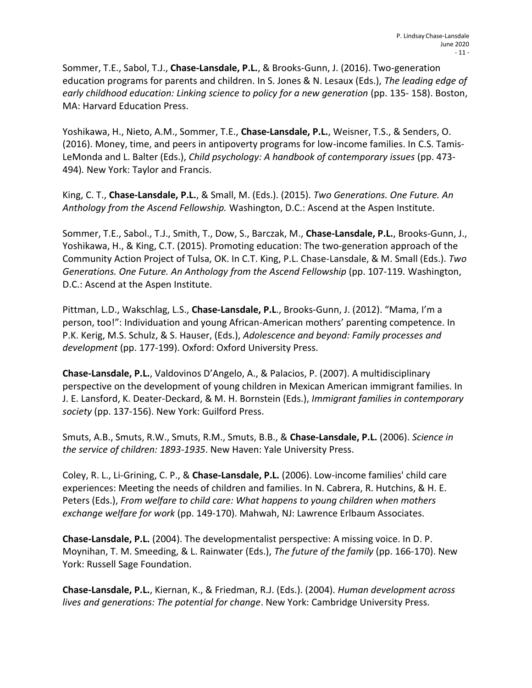Sommer, T.E., Sabol, T.J., **Chase-Lansdale, P.L.**, & Brooks-Gunn, J. (2016). Two-generation education programs for parents and children. In S. Jones & N. Lesaux (Eds.), *The leading edge of early childhood education: Linking science to policy for a new generation* (pp. 135-158). Boston, MA: Harvard Education Press.

Yoshikawa, H., Nieto, A.M., Sommer, T.E., **Chase-Lansdale, P.L.**, Weisner, T.S., & Senders, O. (2016). Money, time, and peers in antipoverty programs for low-income families. In C.S. Tamis-LeMonda and L. Balter (Eds.), *Child psychology: A handbook of contemporary issues* (pp. 473- 494)*.* New York: Taylor and Francis.

King, C. T., **Chase-Lansdale, P.L.**, & Small, M. (Eds.). (2015). *Two Generations. One Future. An Anthology from the Ascend Fellowship.* Washington, D.C.: Ascend at the Aspen Institute.

Sommer, T.E., Sabol., T.J., Smith, T., Dow, S., Barczak, M., **Chase-Lansdale, P.L.**, Brooks-Gunn, J., Yoshikawa, H., & King, C.T. (2015). Promoting education: The two-generation approach of the Community Action Project of Tulsa, OK. In C.T. King, P.L. Chase-Lansdale, & M. Small (Eds.). *Two Generations. One Future. An Anthology from the Ascend Fellowship* (pp. 107-119*.* Washington, D.C.: Ascend at the Aspen Institute.

Pittman, L.D., Wakschlag, L.S., **Chase-Lansdale, P.L**., Brooks-Gunn, J. (2012). "Mama, I'm a person, too!": Individuation and young African-American mothers' parenting competence. In P.K. Kerig, M.S. Schulz, & S. Hauser, (Eds.), *Adolescence and beyond: Family processes and development* (pp. 177-199). Oxford: Oxford University Press.

**Chase-Lansdale, P.L.**, Valdovinos D'Angelo, A., & Palacios, P. (2007). A multidisciplinary perspective on the development of young children in Mexican American immigrant families. In J. E. Lansford, K. Deater-Deckard, & M. H. Bornstein (Eds.), *Immigrant families in contemporary society* (pp. 137-156). New York: Guilford Press.

Smuts, A.B., Smuts, R.W., Smuts, R.M., Smuts, B.B., & **Chase-Lansdale, P.L.** (2006). *Science in the service of children: 1893-1935*. New Haven: Yale University Press.

Coley, R. L., Li-Grining, C. P., & **Chase-Lansdale, P.L.** (2006). Low-income families' child care experiences: Meeting the needs of children and families. In N. Cabrera, R. Hutchins, & H. E. Peters (Eds.), *From welfare to child care: What happens to young children when mothers exchange welfare for work* (pp. 149-170). Mahwah, NJ: Lawrence Erlbaum Associates.

**Chase-Lansdale, P.L.** (2004). The developmentalist perspective: A missing voice. In D. P. Moynihan, T. M. Smeeding, & L. Rainwater (Eds.), *The future of the family* (pp. 166-170). New York: Russell Sage Foundation.

**Chase-Lansdale, P.L.**, Kiernan, K., & Friedman, R.J. (Eds.). (2004). *Human development across lives and generations: The potential for change*. New York: Cambridge University Press.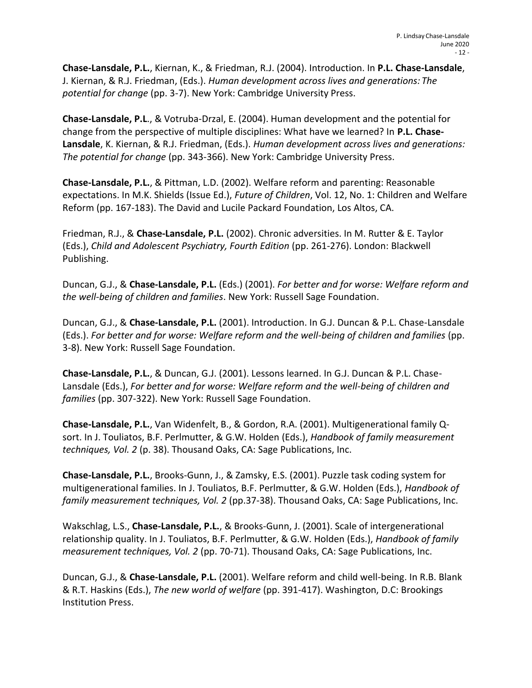**Chase-Lansdale, P.L.**, Kiernan, K., & Friedman, R.J. (2004). Introduction. In **P.L. Chase-Lansdale**, J. Kiernan, & R.J. Friedman, (Eds.). *Human development across lives and generations: The potential for change* (pp. 3-7). New York: Cambridge University Press.

**Chase-Lansdale, P.L**., & Votruba-Drzal, E. (2004). Human development and the potential for change from the perspective of multiple disciplines: What have we learned? In **P.L. Chase-Lansdale**, K. Kiernan, & R.J. Friedman, (Eds.). *Human development across lives and generations: The potential for change* (pp. 343-366). New York: Cambridge University Press.

**Chase-Lansdale, P.L.**, & Pittman, L.D. (2002). Welfare reform and parenting: Reasonable expectations. In M.K. Shields (Issue Ed.), *Future of Children*, Vol. 12, No. 1: Children and Welfare Reform (pp. 167-183). The David and Lucile Packard Foundation, Los Altos, CA.

Friedman, R.J., & **Chase-Lansdale, P.L.** (2002). Chronic adversities. In M. Rutter & E. Taylor (Eds.), *Child and Adolescent Psychiatry, Fourth Edition* (pp. 261-276). London: Blackwell Publishing.

Duncan, G.J., & **Chase-Lansdale, P.L.** (Eds.) (2001). *For better and for worse: Welfare reform and the well-being of children and families*. New York: Russell Sage Foundation.

Duncan, G.J., & **Chase-Lansdale, P.L.** (2001). Introduction. In G.J. Duncan & P.L. Chase-Lansdale (Eds.). *For better and for worse: Welfare reform and the well-being of children and families* (pp. 3-8). New York: Russell Sage Foundation.

**Chase-Lansdale, P.L.**, & Duncan, G.J. (2001). Lessons learned. In G.J. Duncan & P.L. Chase-Lansdale (Eds.), *For better and for worse: Welfare reform and the well-being of children and families* (pp. 307-322). New York: Russell Sage Foundation.

**Chase-Lansdale, P.L.**, Van Widenfelt, B., & Gordon, R.A. (2001). Multigenerational family Qsort. In J. Touliatos, B.F. Perlmutter, & G.W. Holden (Eds.), *Handbook of family measurement techniques, Vol. 2* (p. 38). Thousand Oaks, CA: Sage Publications, Inc.

**Chase-Lansdale, P.L.**, Brooks-Gunn, J., & Zamsky, E.S. (2001). Puzzle task coding system for multigenerational families. In J. Touliatos, B.F. Perlmutter, & G.W. Holden (Eds.), *Handbook of family measurement techniques, Vol. 2* (pp.37-38). Thousand Oaks, CA: Sage Publications, Inc.

Wakschlag, L.S., **Chase-Lansdale, P.L.**, & Brooks-Gunn, J. (2001). Scale of intergenerational relationship quality. In J. Touliatos, B.F. Perlmutter, & G.W. Holden (Eds.), *Handbook of family measurement techniques, Vol. 2* (pp. 70-71). Thousand Oaks, CA: Sage Publications, Inc.

Duncan, G.J., & **Chase-Lansdale, P.L.** (2001). Welfare reform and child well-being. In R.B. Blank & R.T. Haskins (Eds.), *The new world of welfare* (pp. 391-417). Washington, D.C: Brookings Institution Press.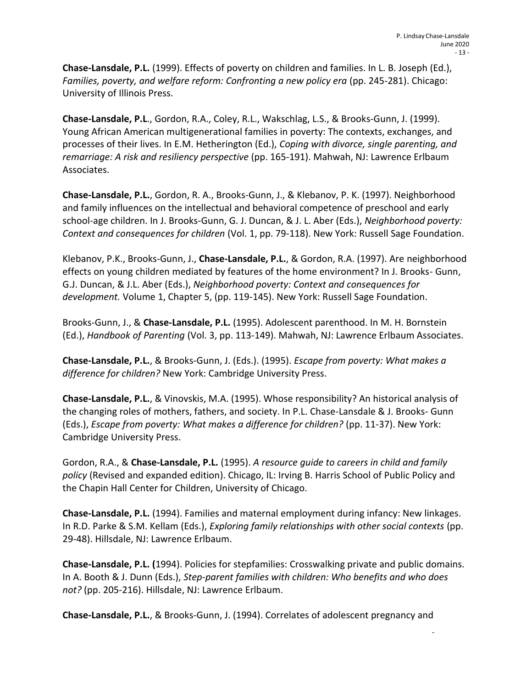**Chase-Lansdale, P.L.** (1999). Effects of poverty on children and families. In L. B. Joseph (Ed.), *Families, poverty, and welfare reform: Confronting a new policy era (pp. 245-281). Chicago:* University of Illinois Press.

**Chase-Lansdale, P.L**., Gordon, R.A., Coley, R.L., Wakschlag, L.S., & Brooks-Gunn, J. (1999). Young African American multigenerational families in poverty: The contexts, exchanges, and processes of their lives. In E.M. Hetherington (Ed.), *Coping with divorce, single parenting, and remarriage: A risk and resiliency perspective* (pp. 165-191). Mahwah, NJ: Lawrence Erlbaum Associates.

**Chase-Lansdale, P.L.**, Gordon, R. A., Brooks-Gunn, J., & Klebanov, P. K. (1997). Neighborhood and family influences on the intellectual and behavioral competence of preschool and early school-age children. In J. Brooks-Gunn, G. J. Duncan, & J. L. Aber (Eds.), *Neighborhood poverty: Context and consequences for children* (Vol. 1, pp. 79-118). New York: Russell Sage Foundation.

Klebanov, P.K., Brooks-Gunn, J., **Chase-Lansdale, P.L.**, & Gordon, R.A. (1997). Are neighborhood effects on young children mediated by features of the home environment? In J. Brooks- Gunn, G.J. Duncan, & J.L. Aber (Eds.), *Neighborhood poverty: Context and consequences for development.* Volume 1, Chapter 5, (pp. 119-145). New York: Russell Sage Foundation.

Brooks-Gunn, J., & **Chase-Lansdale, P.L.** (1995). Adolescent parenthood. In M. H. Bornstein (Ed.), *Handbook of Parenting* (Vol. 3, pp. 113-149). Mahwah, NJ: Lawrence Erlbaum Associates.

**Chase-Lansdale, P.L.**, & Brooks-Gunn, J. (Eds.). (1995). *Escape from poverty: What makes a difference for children?* New York: Cambridge University Press.

**Chase-Lansdale, P.L.**, & Vinovskis, M.A. (1995). Whose responsibility? An historical analysis of the changing roles of mothers, fathers, and society. In P.L. Chase-Lansdale & J. Brooks- Gunn (Eds.), *Escape from poverty: What makes a difference for children?* (pp. 11-37). New York: Cambridge University Press.

Gordon, R.A., & **Chase-Lansdale, P.L.** (1995). *A resource guide to careers in child and family policy* (Revised and expanded edition). Chicago, IL: Irving B. Harris School of Public Policy and the Chapin Hall Center for Children, University of Chicago.

**Chase-Lansdale, P.L.** (1994). Families and maternal employment during infancy: New linkages. In R.D. Parke & S.M. Kellam (Eds.), *Exploring family relationships with other social contexts* (pp. 29-48). Hillsdale, NJ: Lawrence Erlbaum.

**Chase-Lansdale, P.L. (**1994). Policies for stepfamilies: Crosswalking private and public domains. In A. Booth & J. Dunn (Eds.), *Step-parent families with children: Who benefits and who does not?* (pp. 205-216). Hillsdale, NJ: Lawrence Erlbaum.

**Chase-Lansdale, P.L.**, & Brooks-Gunn, J. (1994). Correlates of adolescent pregnancy and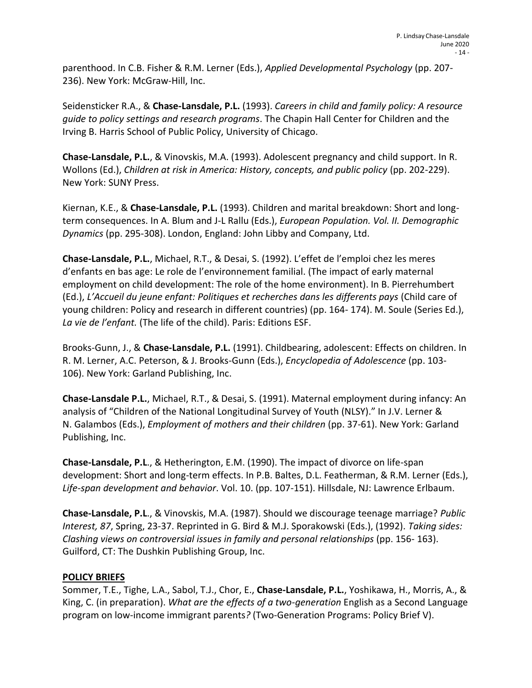parenthood. In C.B. Fisher & R.M. Lerner (Eds.), *Applied Developmental Psychology* (pp. 207- 236). New York: McGraw-Hill, Inc.

Seidensticker R.A., & **Chase-Lansdale, P.L.** (1993). *Careers in child and family policy: A resource guide to policy settings and research programs*. The Chapin Hall Center for Children and the Irving B. Harris School of Public Policy, University of Chicago.

**Chase-Lansdale, P.L.**, & Vinovskis, M.A. (1993). Adolescent pregnancy and child support. In R. Wollons (Ed.), *Children at risk in America: History, concepts, and public policy* (pp. 202-229). New York: SUNY Press.

Kiernan, K.E., & **Chase-Lansdale, P.L.** (1993). Children and marital breakdown: Short and longterm consequences. In A. Blum and J-L Rallu (Eds.), *European Population. Vol. II. Demographic Dynamics* (pp. 295-308). London, England: John Libby and Company, Ltd.

**Chase-Lansdale, P.L.**, Michael, R.T., & Desai, S. (1992). L'effet de l'emploi chez les meres d'enfants en bas age: Le role de l'environnement familial. (The impact of early maternal employment on child development: The role of the home environment). In B. Pierrehumbert (Ed.), *L'Accueil du jeune enfant: Politiques et recherches dans les differents pays* (Child care of young children: Policy and research in different countries) (pp. 164- 174). M. Soule (Series Ed.), *La vie de l'enfant.* (The life of the child). Paris: Editions ESF.

Brooks-Gunn, J., & **Chase-Lansdale, P.L.** (1991). Childbearing, adolescent: Effects on children. In R. M. Lerner, A.C. Peterson, & J. Brooks-Gunn (Eds.), *Encyclopedia of Adolescence* (pp. 103- 106). New York: Garland Publishing, Inc.

**Chase-Lansdale P.L.**, Michael, R.T., & Desai, S. (1991). Maternal employment during infancy: An analysis of "Children of the National Longitudinal Survey of Youth (NLSY)." In J.V. Lerner & N. Galambos (Eds.), *Employment of mothers and their children* (pp. 37-61). New York: Garland Publishing, Inc.

**Chase-Lansdale, P.L**., & Hetherington, E.M. (1990). The impact of divorce on life-span development: Short and long-term effects. In P.B. Baltes, D.L. Featherman, & R.M. Lerner (Eds.), *Life-span development and behavior*. Vol. 10. (pp. 107-151). Hillsdale, NJ: Lawrence Erlbaum.

**Chase-Lansdale, P.L**., & Vinovskis, M.A. (1987). Should we discourage teenage marriage? *Public Interest, 87*, Spring, 23-37. Reprinted in G. Bird & M.J. Sporakowski (Eds.), (1992). *Taking sides: Clashing views on controversial issues in family and personal relationships* (pp. 156- 163). Guilford, CT: The Dushkin Publishing Group, Inc.

## **POLICY BRIEFS**

Sommer, T.E., Tighe, L.A., Sabol, T.J., Chor, E., **Chase-Lansdale, P.L.**, Yoshikawa, H., Morris, A., & King, C. (in preparation). *What are the effects of a two-generation* English as a Second Language program on low-income immigrant parents*?* (Two-Generation Programs: Policy Brief V).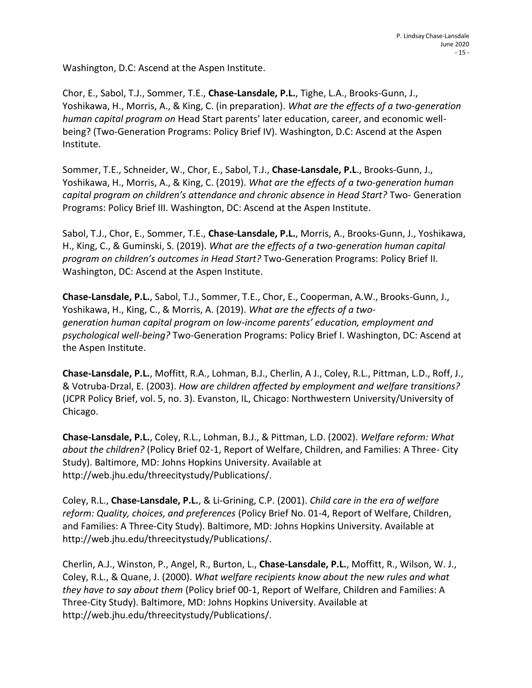Washington, D.C: Ascend at the Aspen Institute.

Chor, E., Sabol, T.J., Sommer, T.E., **Chase-Lansdale, P.L.**, Tighe, L.A., Brooks-Gunn, J., Yoshikawa, H., Morris, A., & King, C. (in preparation). *What are the effects of a two-generation human capital program on* Head Start parents' later education, career, and economic wellbeing? (Two-Generation Programs: Policy Brief IV). Washington, D.C: Ascend at the Aspen Institute.

Sommer, T.E., Schneider, W., Chor, E., Sabol, T.J., **Chase-Lansdale, P.L**., Brooks-Gunn, J., Yoshikawa, H., Morris, A., & King, C. (2019). *What are the effects of a two-generation human capital program on children's attendance and chronic absence in Head Start?* Two- Generation Programs: Policy Brief III. Washington, DC: Ascend at the Aspen Institute.

Sabol, T.J., Chor, E., Sommer, T.E., **Chase-Lansdale, P.L.**, Morris, A., Brooks-Gunn, J., Yoshikawa, H., King, C., & Guminski, S. (2019). *What are the effects of a two-generation human capital program on children's outcomes in Head Start?* Two-Generation Programs: Policy Brief II. Washington, DC: Ascend at the Aspen Institute.

**Chase-Lansdale, P.L.**, Sabol, T.J., Sommer, T.E., Chor, E., Cooperman, A.W., Brooks-Gunn, J., Yoshikawa, H., King, C., & Morris, A. (2019). *What are the effects of a twogeneration human capital program on low-income parents' education, employment and psychological well-being?* Two-Generation Programs: Policy Brief I. Washington, DC: Ascend at the Aspen Institute.

**Chase-Lansdale, P.L.**, Moffitt, R.A., Lohman, B.J., Cherlin, A J., Coley, R.L., Pittman, L.D., Roff, J., & Votruba-Drzal, E. (2003). *How are children affected by employment and welfare transitions?*  (JCPR Policy Brief, vol. 5, no. 3). Evanston, IL, Chicago: Northwestern University/University of Chicago.

**Chase-Lansdale, P.L.**, Coley, R.L., Lohman, B.J., & Pittman, L.D. (2002). *Welfare reform: What about the children?* (Policy Brief 02-1, Report of Welfare, Children, and Families: A Three- City Study). Baltimore, MD: Johns Hopkins University. Available at [http://web.jhu.edu/threecitystudy/Publications/.](http://web.jhu.edu/threecitystudy/Publications/)

Coley, R.L., **Chase-Lansdale, P.L.**, & Li-Grining, C.P. (2001). *Child care in the era of welfare reform: Quality, choices, and preferences* (Policy Brief No. 01-4, Report of Welfare, Children, and Families: A Three-City Study). Baltimore, MD: Johns Hopkins University. Available at [http://web.jhu.edu/threecitystudy/Publications/.](http://web.jhu.edu/threecitystudy/Publications/)

Cherlin, A.J., Winston, P., Angel, R., Burton, L., **Chase-Lansdale, P.L.**, Moffitt, R., Wilson, W. J., Coley, R.L., & Quane, J. (2000). *What welfare recipients know about the new rules and what they have to say about them* (Policy brief 00-1, Report of Welfare, Children and Families: A Three-City Study). Baltimore, MD: Johns Hopkins University. Available at [http://web.jhu.edu/threecitystudy/Publications/.](http://web.jhu.edu/threecitystudy/Publications/)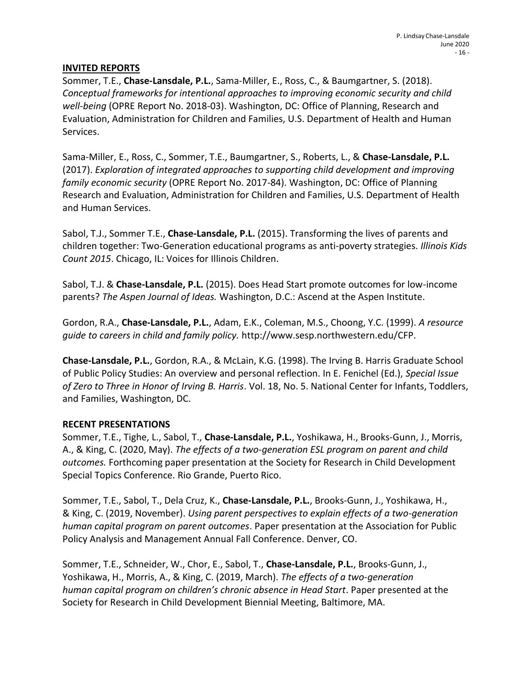#### **INVITED REPORTS**

Sommer, T.E., **Chase-Lansdale, P.L.**, Sama-Miller, E., Ross, C., & Baumgartner, S. (2018). *Conceptual frameworks for intentional approaches to improving economic security and child well-being* (OPRE Report No. 2018-03). Washington, DC: Office of Planning, Research and Evaluation, Administration for Children and Families, U.S. Department of Health and Human Services.

Sama-Miller, E., Ross, C., Sommer, T.E., Baumgartner, S., Roberts, L., & **Chase-Lansdale, P.L.** (2017). *Exploration of integrated approaches to supporting child development and improving family economic security* (OPRE Report No. 2017-84). Washington, DC: Office of Planning Research and Evaluation, Administration for Children and Families, U.S. Department of Health and Human Services.

Sabol, T.J., Sommer T.E., **Chase-Lansdale, P.L.** (2015). Transforming the lives of parents and children together: Two-Generation educational programs as anti-poverty strategies. *Illinois Kids Count 2015*. Chicago, IL: Voices for Illinois Children.

Sabol, T.J. & **Chase-Lansdale, P.L.** (2015). Does Head Start promote outcomes for low-income parents? *The Aspen Journal of Ideas.* Washington, D.C.: Ascend at the Aspen Institute.

Gordon, R.A., **Chase-Lansdale, P.L.**, Adam, E.K., Coleman, M.S., Choong, Y.C. (1999). *A resource guide to careers in child and family policy.* [http://www.sesp.northwestern.edu/CFP.](http://www.sesp.northwestern.edu/CFP)

**Chase-Lansdale, P.L.**, Gordon, R.A., & McLain, K.G. (1998). The Irving B. Harris Graduate School of Public Policy Studies: An overview and personal reflection. In E. Fenichel (Ed.), *Special Issue of Zero to Three in Honor of Irving B. Harris*. Vol. 18, No. 5. National Center for Infants, Toddlers, and Families, Washington, DC.

#### **RECENT PRESENTATIONS**

Sommer, T.E., Tighe, L., Sabol, T., **Chase-Lansdale, P.L.**, Yoshikawa, H., Brooks-Gunn, J., Morris, A., & King, C. (2020, May). *The effects of a two-generation ESL program on parent and child outcomes.* Forthcoming paper presentation at the Society for Research in Child Development Special Topics Conference. Rio Grande, Puerto Rico.

Sommer, T.E., Sabol, T., Dela Cruz, K., **Chase-Lansdale, P.L.**, Brooks-Gunn, J., Yoshikawa, H., & King, C. (2019, November). *Using parent perspectives to explain effects of a two-generation human capital program on parent outcomes*. Paper presentation at the Association for Public Policy Analysis and Management Annual Fall Conference. Denver, CO.

Sommer, T.E., Schneider, W., Chor, E., Sabol, T., **Chase-Lansdale, P.L.**, Brooks-Gunn, J., Yoshikawa, H., Morris, A., & King, C. (2019, March). *The effects of a two-generation human capital program on children's chronic absence in Head Start*. Paper presented at the Society for Research in Child Development Biennial Meeting, Baltimore, MA.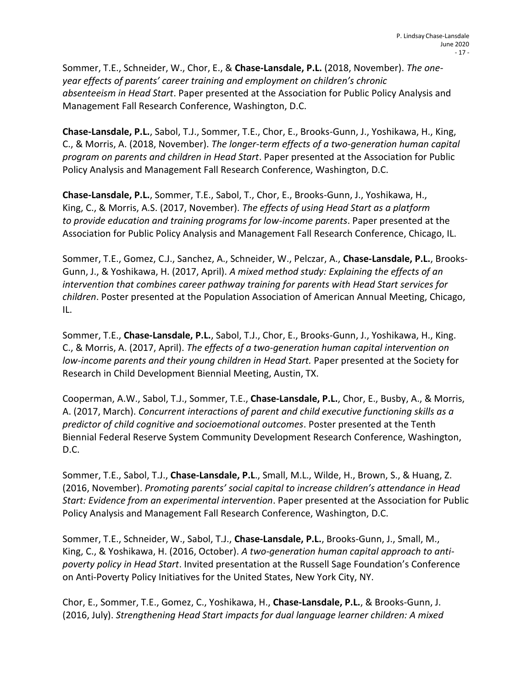Sommer, T.E., Schneider, W., Chor, E., & **Chase-Lansdale, P.L.** (2018, November). *The oneyear effects of parents' career training and employment on children's chronic absenteeism in Head Start*. Paper presented at the Association for Public Policy Analysis and Management Fall Research Conference, Washington, D.C.

**Chase-Lansdale, P.L.**, Sabol, T.J., Sommer, T.E., Chor, E., Brooks-Gunn, J., Yoshikawa, H., King, C., & Morris, A. (2018, November). *The longer-term effects of a two-generation human capital program on parents and children in Head Start*. Paper presented at the Association for Public Policy Analysis and Management Fall Research Conference, Washington, D.C.

**Chase-Lansdale, P.L.**, Sommer, T.E., Sabol, T., Chor, E., Brooks-Gunn, J., Yoshikawa, H., King, C., & Morris, A.S. (2017, November). *The effects of using Head Start as a platform to provide education and training programs for low-income parents*. Paper presented at the Association for Public Policy Analysis and Management Fall Research Conference, Chicago, IL.

Sommer, T.E., Gomez, C.J., Sanchez, A., Schneider, W., Pelczar, A., **Chase-Lansdale, P.L.**, Brooks-Gunn, J., & Yoshikawa, H. (2017, April). *A mixed method study: Explaining the effects of an intervention that combines career pathway training for parents with Head Start services for children*. Poster presented at the Population Association of American Annual Meeting, Chicago, IL.

Sommer, T.E., **Chase-Lansdale, P.L.**, Sabol, T.J., Chor, E., Brooks-Gunn, J., Yoshikawa, H., King. C., & Morris, A. (2017, April). *The effects of a two-generation human capital intervention on low-income parents and their young children in Head Start.* Paper presented at the Society for Research in Child Development Biennial Meeting, Austin, TX.

Cooperman, A.W., Sabol, T.J., Sommer, T.E., **Chase-Lansdale, P.L.**, Chor, E., Busby, A., & Morris, A. (2017, March). *Concurrent interactions of parent and child executive functioning skills as a predictor of child cognitive and socioemotional outcomes*. Poster presented at the Tenth Biennial Federal Reserve System Community Development Research Conference, Washington, D.C.

Sommer, T.E., Sabol, T.J., **Chase-Lansdale, P.L**., Small, M.L., Wilde, H., Brown, S., & Huang, Z. (2016, November). *Promoting parents' social capital to increase children's attendance in Head Start: Evidence from an experimental intervention*. Paper presented at the Association for Public Policy Analysis and Management Fall Research Conference, Washington, D.C.

Sommer, T.E., Schneider, W., Sabol, T.J., **Chase-Lansdale, P.L.**, Brooks-Gunn, J., Small, M., King, C., & Yoshikawa, H. (2016, October). *A two-generation human capital approach to antipoverty policy in Head Start*. Invited presentation at the Russell Sage Foundation's Conference on Anti-Poverty Policy Initiatives for the United States, New York City, NY.

Chor, E., Sommer, T.E., Gomez, C., Yoshikawa, H., **Chase-Lansdale, P.L.**, & Brooks-Gunn, J. (2016, July). *Strengthening Head Start impacts for dual language learner children: A mixed*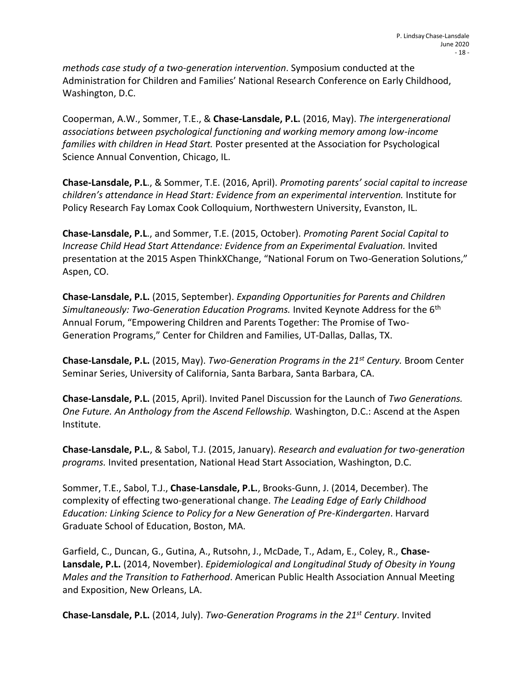*methods case study of a two-generation intervention*. Symposium conducted at the Administration for Children and Families' National Research Conference on Early Childhood, Washington, D.C.

Cooperman, A.W., Sommer, T.E., & **Chase-Lansdale, P.L.** (2016, May). *The intergenerational associations between psychological functioning and working memory among low-income families with children in Head Start.* Poster presented at the Association for Psychological Science Annual Convention, Chicago, IL.

**Chase-Lansdale, P.L**., & Sommer, T.E. (2016, April). *Promoting parents' social capital to increase children's attendance in Head Start: Evidence from an experimental intervention.* Institute for Policy Research Fay Lomax Cook Colloquium, Northwestern University, Evanston, IL.

**Chase-Lansdale, P.L**., and Sommer, T.E. (2015, October). *Promoting Parent Social Capital to Increase Child Head Start Attendance: Evidence from an Experimental Evaluation.* Invited presentation at the 2015 Aspen ThinkXChange, "National Forum on Two-Generation Solutions," Aspen, CO.

**Chase-Lansdale, P.L.** (2015, September). *Expanding Opportunities for Parents and Children Simultaneously: Two-Generation Education Programs.* Invited Keynote Address for the 6<sup>th</sup> Annual Forum, "Empowering Children and Parents Together: The Promise of Two-Generation Programs," Center for Children and Families, UT-Dallas, Dallas, TX.

**Chase-Lansdale, P.L.** (2015, May). *Two-Generation Programs in the 21st Century.* Broom Center Seminar Series, University of California, Santa Barbara, Santa Barbara, CA.

**Chase-Lansdale, P.L.** (2015, April). Invited Panel Discussion for the Launch of *Two Generations. One Future. An Anthology from the Ascend Fellowship.* Washington, D.C.: Ascend at the Aspen Institute.

**Chase-Lansdale, P.L.**, & Sabol, T.J. (2015, January). *Research and evaluation for two-generation programs.* Invited presentation, National Head Start Association, Washington, D.C.

Sommer, T.E., Sabol, T.J., **Chase-Lansdale, P.L.**, Brooks-Gunn, J. (2014, December). The complexity of effecting two-generational change. *The Leading Edge of Early Childhood Education: Linking Science to Policy for a New Generation of Pre-Kindergarten*. Harvard Graduate School of Education, Boston, MA.

Garfield, C., Duncan, G., Gutina, A., Rutsohn, J., McDade, T., Adam, E., Coley, R., **Chase-Lansdale, P.L.** (2014, November). *Epidemiological and Longitudinal Study of Obesity in Young Males and the Transition to Fatherhood*. American Public Health Association Annual Meeting and Exposition, New Orleans, LA.

**Chase-Lansdale, P.L.** (2014, July). *Two-Generation Programs in the 21st Century*. Invited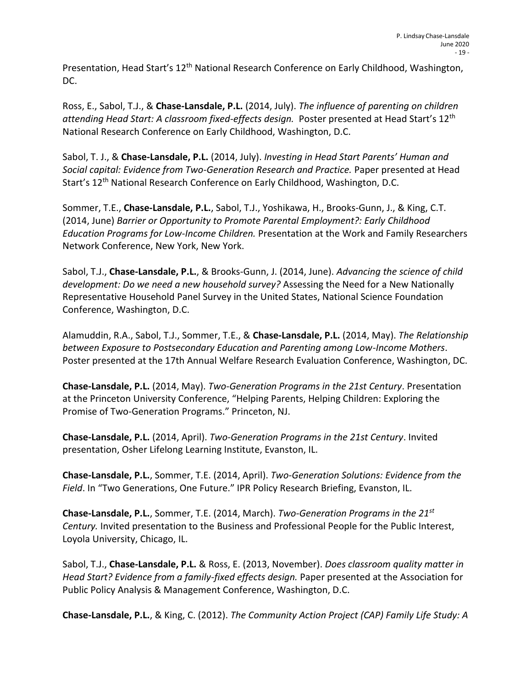Presentation, Head Start's 12<sup>th</sup> National Research Conference on Early Childhood, Washington, DC.

Ross, E., Sabol, T.J., & **Chase-Lansdale, P.L.** (2014, July). *The influence of parenting on children attending Head Start: A classroom fixed-effects design.* Poster presented at Head Start's 12th National Research Conference on Early Childhood, Washington, D.C.

Sabol, T. J., & **Chase-Lansdale, P.L.** (2014, July). *Investing in Head Start Parents' Human and Social capital: Evidence from Two-Generation Research and Practice.* Paper presented at Head Start's 12th National Research Conference on Early Childhood, Washington, D.C.

Sommer, T.E., **Chase-Lansdale, P.L.**, Sabol, T.J., Yoshikawa, H., Brooks-Gunn, J., & King, C.T. (2014, June) *Barrier or Opportunity to Promote Parental Employment?: Early Childhood Education Programs for Low-Income Children.* Presentation at the Work and Family Researchers Network Conference, New York, New York.

Sabol, T.J., **Chase-Lansdale, P.L.**, & Brooks-Gunn, J. (2014, June). *Advancing the science of child development: Do we need a new household survey?* Assessing the Need for a New Nationally Representative Household Panel Survey in the United States, National Science Foundation Conference, Washington, D.C.

Alamuddin, R.A., Sabol, T.J., Sommer, T.E., & **Chase-Lansdale, P.L.** (2014, May). *The Relationship between Exposure to Postsecondary Education and Parenting among Low-Income Mothers*. Poster presented at the 17th Annual Welfare Research Evaluation Conference, Washington, DC.

**Chase-Lansdale, P.L.** (2014, May). *Two-Generation Programs in the 21st Century*. Presentation at the Princeton University Conference, "Helping Parents, Helping Children: Exploring the Promise of Two-Generation Programs." Princeton, NJ.

**Chase-Lansdale, P.L.** (2014, April). *Two-Generation Programs in the 21st Century*. Invited presentation, Osher Lifelong Learning Institute, Evanston, IL.

**Chase-Lansdale, P.L.**, Sommer, T.E. (2014, April). *Two-Generation Solutions: Evidence from the Field*. In "Two Generations, One Future." IPR Policy Research Briefing, Evanston, IL.

**Chase-Lansdale, P.L.**, Sommer, T.E. (2014, March). *Two-Generation Programs in the 21st Century.* Invited presentation to the Business and Professional People for the Public Interest, Loyola University, Chicago, IL.

Sabol, T.J., **Chase-Lansdale, P.L.** & Ross, E. (2013, November). *Does classroom quality matter in Head Start? Evidence from a family-fixed effects design.* Paper presented at the Association for Public Policy Analysis & Management Conference, Washington, D.C.

**Chase-Lansdale, P.L.**, & King, C. (2012). *The Community Action Project (CAP) Family Life Study: A*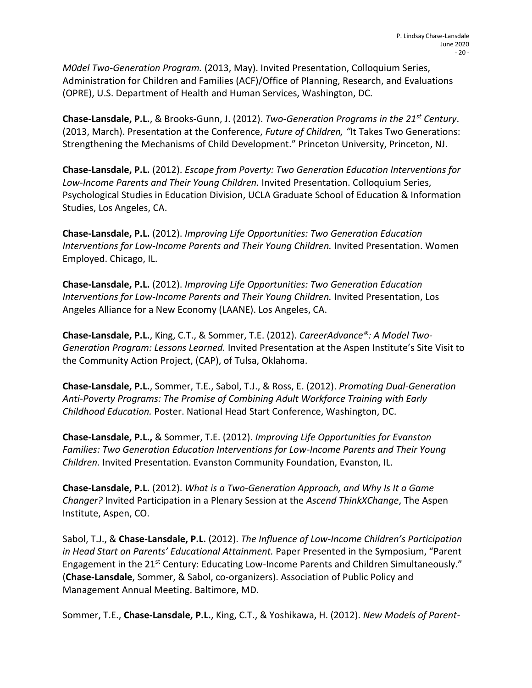*M0del Two-Generation Program.* (2013, May). Invited Presentation, Colloquium Series, Administration for Children and Families (ACF)/Office of Planning, Research, and Evaluations (OPRE), U.S. Department of Health and Human Services, Washington, DC.

**Chase-Lansdale, P.L.**, & Brooks-Gunn, J. (2012). *Two-Generation Programs in the 21st Century*. (2013, March). Presentation at the Conference, *Future of Children, "*It Takes Two Generations: Strengthening the Mechanisms of Child Development." Princeton University, Princeton, NJ.

**Chase-Lansdale, P.L.** (2012). *Escape from Poverty: Two Generation Education Interventions for Low-Income Parents and Their Young Children.* Invited Presentation. Colloquium Series, Psychological Studies in Education Division, UCLA Graduate School of Education & Information Studies, Los Angeles, CA.

**Chase-Lansdale, P.L.** (2012). *Improving Life Opportunities: Two Generation Education Interventions for Low-Income Parents and Their Young Children.* Invited Presentation. Women Employed. Chicago, IL.

**Chase-Lansdale, P.L.** (2012). *Improving Life Opportunities: Two Generation Education Interventions for Low-Income Parents and Their Young Children.* Invited Presentation, Los Angeles Alliance for a New Economy (LAANE). Los Angeles, CA.

**Chase-Lansdale, P.L.**, King, C.T., & Sommer, T.E. (2012). *CareerAdvance®: A Model Two-Generation Program: Lessons Learned.* Invited Presentation at the Aspen Institute's Site Visit to the Community Action Project, (CAP), of Tulsa, Oklahoma.

**Chase-Lansdale, P.L.**, Sommer, T.E., Sabol, T.J., & Ross, E. (2012). *Promoting Dual-Generation Anti-Poverty Programs: The Promise of Combining Adult Workforce Training with Early Childhood Education.* Poster. National Head Start Conference, Washington, DC.

**Chase-Lansdale, P.L.,** & Sommer, T.E. (2012). *Improving Life Opportunities for Evanston Families: Two Generation Education Interventions for Low-Income Parents and Their Young Children.* Invited Presentation. Evanston Community Foundation, Evanston, IL.

**Chase-Lansdale, P.L.** (2012). *What is a Two-Generation Approach, and Why Is It a Game Changer?* Invited Participation in a Plenary Session at the *Ascend ThinkXChange*, The Aspen Institute, Aspen, CO.

Sabol, T.J., & **Chase-Lansdale, P.L.** (2012). *The Influence of Low-Income Children's Participation in Head Start on Parents' Educational Attainment.* Paper Presented in the Symposium, "Parent Engagement in the 21<sup>st</sup> Century: Educating Low-Income Parents and Children Simultaneously." (**Chase-Lansdale**, Sommer, & Sabol, co-organizers). Association of Public Policy and Management Annual Meeting. Baltimore, MD.

Sommer, T.E., **Chase-Lansdale, P.L.**, King, C.T., & Yoshikawa, H. (2012). *New Models of Parent-*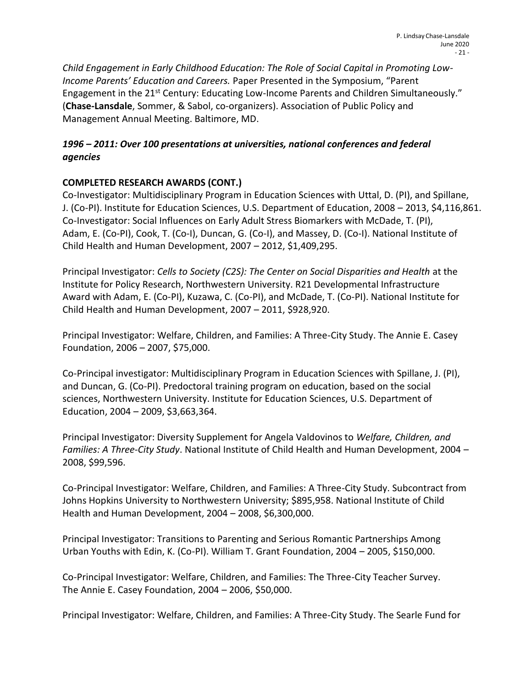*Child Engagement in Early Childhood Education: The Role of Social Capital in Promoting Low-Income Parents' Education and Careers.* Paper Presented in the Symposium, "Parent Engagement in the 21<sup>st</sup> Century: Educating Low-Income Parents and Children Simultaneously." (**Chase-Lansdale**, Sommer, & Sabol, co-organizers). Association of Public Policy and Management Annual Meeting. Baltimore, MD.

# *1996 – 2011: Over 100 presentations at universities, national conferences and federal agencies*

# **COMPLETED RESEARCH AWARDS (CONT.)**

Co-Investigator: Multidisciplinary Program in Education Sciences with Uttal, D. (PI), and Spillane, J. (Co-PI). Institute for Education Sciences, U.S. Department of Education, 2008 – 2013, \$4,116,861. Co-Investigator: Social Influences on Early Adult Stress Biomarkers with McDade, T. (PI), Adam, E. (Co-PI), Cook, T. (Co-I), Duncan, G. (Co-I), and Massey, D. (Co-I). National Institute of Child Health and Human Development, 2007 – 2012, \$1,409,295.

Principal Investigator: *Cells to Society (C2S): The Center on Social Disparities and Health* at the Institute for Policy Research, Northwestern University. R21 Developmental Infrastructure Award with Adam, E. (Co-PI), Kuzawa, C. (Co-PI), and McDade, T. (Co-PI). National Institute for Child Health and Human Development, 2007 – 2011, \$928,920.

Principal Investigator: Welfare, Children, and Families: A Three-City Study. The Annie E. Casey Foundation, 2006 – 2007, \$75,000.

Co-Principal investigator: Multidisciplinary Program in Education Sciences with Spillane, J. (PI), and Duncan, G. (Co-PI). Predoctoral training program on education, based on the social sciences, Northwestern University. Institute for Education Sciences, U.S. Department of Education, 2004 – 2009, \$3,663,364.

Principal Investigator: Diversity Supplement for Angela Valdovinos to *Welfare, Children, and Families: A Three-City Study*. National Institute of Child Health and Human Development, 2004 – 2008, \$99,596.

Co-Principal Investigator: Welfare, Children, and Families: A Three-City Study. Subcontract from Johns Hopkins University to Northwestern University; \$895,958. National Institute of Child Health and Human Development, 2004 – 2008, \$6,300,000.

Principal Investigator: Transitions to Parenting and Serious Romantic Partnerships Among Urban Youths with Edin, K. (Co-PI). William T. Grant Foundation, 2004 – 2005, \$150,000.

Co-Principal Investigator: Welfare, Children, and Families: The Three-City Teacher Survey. The Annie E. Casey Foundation, 2004 – 2006, \$50,000.

Principal Investigator: Welfare, Children, and Families: A Three-City Study. The Searle Fund for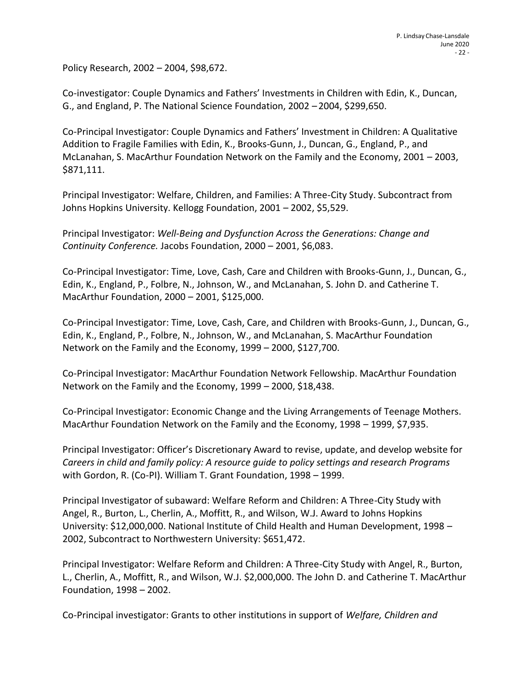Policy Research, 2002 – 2004, \$98,672.

Co-investigator: Couple Dynamics and Fathers' Investments in Children with Edin, K., Duncan, G., and England, P. The National Science Foundation, 2002 – 2004, \$299,650.

Co-Principal Investigator: Couple Dynamics and Fathers' Investment in Children: A Qualitative Addition to Fragile Families with Edin, K., Brooks-Gunn, J., Duncan, G., England, P., and McLanahan, S. MacArthur Foundation Network on the Family and the Economy, 2001 – 2003, \$871,111.

Principal Investigator: Welfare, Children, and Families: A Three-City Study. Subcontract from Johns Hopkins University. Kellogg Foundation, 2001 – 2002, \$5,529.

Principal Investigator: *Well-Being and Dysfunction Across the Generations: Change and Continuity Conference.* Jacobs Foundation, 2000 – 2001, \$6,083.

Co-Principal Investigator: Time, Love, Cash, Care and Children with Brooks-Gunn, J., Duncan, G., Edin, K., England, P., Folbre, N., Johnson, W., and McLanahan, S. John D. and Catherine T. MacArthur Foundation, 2000 – 2001, \$125,000.

Co-Principal Investigator: Time, Love, Cash, Care, and Children with Brooks-Gunn, J., Duncan, G., Edin, K., England, P., Folbre, N., Johnson, W., and McLanahan, S. MacArthur Foundation Network on the Family and the Economy, 1999 – 2000, \$127,700.

Co-Principal Investigator: MacArthur Foundation Network Fellowship. MacArthur Foundation Network on the Family and the Economy, 1999 – 2000, \$18,438.

Co-Principal Investigator: Economic Change and the Living Arrangements of Teenage Mothers. MacArthur Foundation Network on the Family and the Economy, 1998 – 1999, \$7,935.

Principal Investigator: Officer's Discretionary Award to revise, update, and develop website for *Careers in child and family policy: A resource guide to policy settings and research Programs*  with Gordon, R. (Co-PI). William T. Grant Foundation, 1998 – 1999.

Principal Investigator of subaward: Welfare Reform and Children: A Three-City Study with Angel, R., Burton, L., Cherlin, A., Moffitt, R., and Wilson, W.J. Award to Johns Hopkins University: \$12,000,000. National Institute of Child Health and Human Development, 1998 – 2002, Subcontract to Northwestern University: \$651,472.

Principal Investigator: Welfare Reform and Children: A Three-City Study with Angel, R., Burton, L., Cherlin, A., Moffitt, R., and Wilson, W.J. \$2,000,000. The John D. and Catherine T. MacArthur Foundation, 1998 – 2002.

Co-Principal investigator: Grants to other institutions in support of *Welfare, Children and*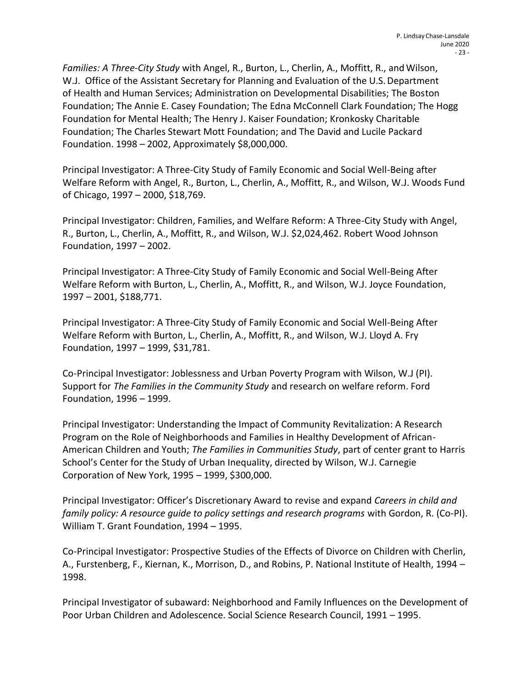*Families: A Three-City Study* with Angel, R., Burton, L., Cherlin, A., Moffitt, R., andWilson, W.J. Office of the Assistant Secretary for Planning and Evaluation of the U.S. Department of Health and Human Services; Administration on Developmental Disabilities; The Boston Foundation; The Annie E. Casey Foundation; The Edna McConnell Clark Foundation; The Hogg Foundation for Mental Health; The Henry J. Kaiser Foundation; Kronkosky Charitable Foundation; The Charles Stewart Mott Foundation; and The David and Lucile Packard Foundation. 1998 – 2002, Approximately \$8,000,000.

Principal Investigator: A Three-City Study of Family Economic and Social Well-Being after Welfare Reform with Angel, R., Burton, L., Cherlin, A., Moffitt, R., and Wilson, W.J. Woods Fund of Chicago, 1997 – 2000, \$18,769.

Principal Investigator: Children, Families, and Welfare Reform: A Three-City Study with Angel, R., Burton, L., Cherlin, A., Moffitt, R., and Wilson, W.J. \$2,024,462. Robert Wood Johnson Foundation, 1997 – 2002.

Principal Investigator: A Three-City Study of Family Economic and Social Well-Being After Welfare Reform with Burton, L., Cherlin, A., Moffitt, R., and Wilson, W.J. Joyce Foundation, 1997 – 2001, \$188,771.

Principal Investigator: A Three-City Study of Family Economic and Social Well-Being After Welfare Reform with Burton, L., Cherlin, A., Moffitt, R., and Wilson, W.J. Lloyd A. Fry Foundation, 1997 – 1999, \$31,781.

Co-Principal Investigator: Joblessness and Urban Poverty Program with Wilson, W.J (PI). Support for *The Families in the Community Study* and research on welfare reform. Ford Foundation, 1996 – 1999.

Principal Investigator: Understanding the Impact of Community Revitalization: A Research Program on the Role of Neighborhoods and Families in Healthy Development of African-American Children and Youth; *The Families in Communities Study*, part of center grant to Harris School's Center for the Study of Urban Inequality, directed by Wilson, W.J. Carnegie Corporation of New York, 1995 – 1999, \$300,000.

Principal Investigator: Officer's Discretionary Award to revise and expand *Careers in child and family policy: A resource guide to policy settings and research programs* with Gordon, R. (Co-PI). William T. Grant Foundation, 1994 – 1995.

Co-Principal Investigator: Prospective Studies of the Effects of Divorce on Children with Cherlin, A., Furstenberg, F., Kiernan, K., Morrison, D., and Robins, P. National Institute of Health, 1994 – 1998.

Principal Investigator of subaward: Neighborhood and Family Influences on the Development of Poor Urban Children and Adolescence. Social Science Research Council, 1991 – 1995.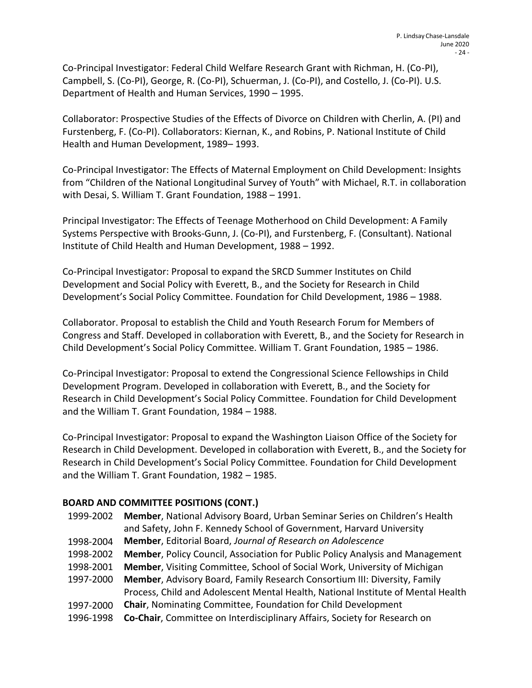Co-Principal Investigator: Federal Child Welfare Research Grant with Richman, H. (Co-PI), Campbell, S. (Co-PI), George, R. (Co-PI), Schuerman, J. (Co-PI), and Costello, J. (Co-PI). U.S. Department of Health and Human Services, 1990 – 1995.

Collaborator: Prospective Studies of the Effects of Divorce on Children with Cherlin, A. (PI) and Furstenberg, F. (Co-PI). Collaborators: Kiernan, K., and Robins, P. National Institute of Child Health and Human Development, 1989– 1993.

Co-Principal Investigator: The Effects of Maternal Employment on Child Development: Insights from "Children of the National Longitudinal Survey of Youth" with Michael, R.T. in collaboration with Desai, S. William T. Grant Foundation, 1988 – 1991.

Principal Investigator: The Effects of Teenage Motherhood on Child Development: A Family Systems Perspective with Brooks-Gunn, J. (Co-PI), and Furstenberg, F. (Consultant). National Institute of Child Health and Human Development, 1988 – 1992.

Co-Principal Investigator: Proposal to expand the SRCD Summer Institutes on Child Development and Social Policy with Everett, B., and the Society for Research in Child Development's Social Policy Committee. Foundation for Child Development, 1986 – 1988.

Collaborator. Proposal to establish the Child and Youth Research Forum for Members of Congress and Staff. Developed in collaboration with Everett, B., and the Society for Research in Child Development's Social Policy Committee. William T. Grant Foundation, 1985 – 1986.

Co-Principal Investigator: Proposal to extend the Congressional Science Fellowships in Child Development Program. Developed in collaboration with Everett, B., and the Society for Research in Child Development's Social Policy Committee. Foundation for Child Development and the William T. Grant Foundation, 1984 – 1988.

Co-Principal Investigator: Proposal to expand the Washington Liaison Office of the Society for Research in Child Development. Developed in collaboration with Everett, B., and the Society for Research in Child Development's Social Policy Committee. Foundation for Child Development and the William T. Grant Foundation, 1982 – 1985.

## **BOARD AND COMMITTEE POSITIONS (CONT.)**

1999-2002 **Member**, National Advisory Board, Urban Seminar Series on Children's Health 1998-2004 and Safety, John F. Kennedy School of Government, Harvard University **Member**, Editorial Board, *Journal of Research on Adolescence* 1998-2002 **Member**, Policy Council, Association for Public Policy Analysis and Management 1998-2001 **Member**, Visiting Committee, School of Social Work, University of Michigan 1997-2000 **Member**, Advisory Board, Family Research Consortium III: Diversity, Family 1997-2000 **Chair**, Nominating Committee, Foundation for Child Development Process, Child and Adolescent Mental Health, National Institute of Mental Health 1996-1998 **Co-Chair**, Committee on Interdisciplinary Affairs, Society for Research on